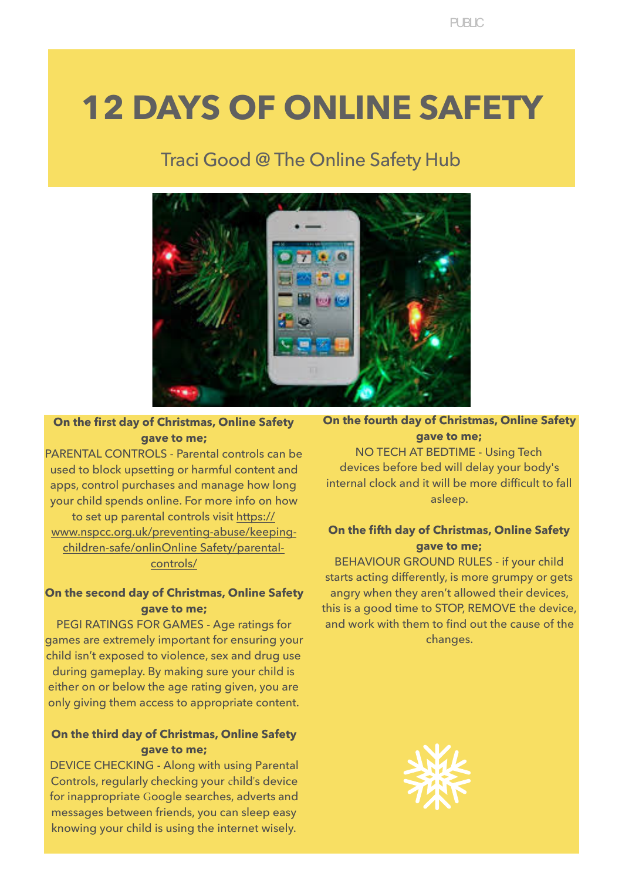# **12 DAYS OF ONLINE SAFETY**

# Traci Good @ The Online Safety Hub



**On the first day of Christmas, Online Safety gave to me;** 

PARENTAL CONTROLS - Parental controls can be used to block upsetting or harmful content and apps, control purchases and manage how long your child spends online. For more info on how to set up parental controls visit [https://](https://www.nspcc.org.uk/preventing-abuse/keeping-children-safe/online-safety/parental-controls/) [www.nspcc.org.uk/preventing-abuse/keeping](https://www.nspcc.org.uk/preventing-abuse/keeping-children-safe/online-safety/parental-controls/)[children-safe/onlinOnline Safety/parental](https://www.nspcc.org.uk/preventing-abuse/keeping-children-safe/online-safety/parental-controls/)[controls/](https://www.nspcc.org.uk/preventing-abuse/keeping-children-safe/online-safety/parental-controls/)

# **On the second day of Christmas, Online Safety gave to me;**

PEGI RATINGS FOR GAMES - Age ratings for games are extremely important for ensuring your child isn't exposed to violence, sex and drug use during gameplay. By making sure your child is either on or below the age rating given, you are only giving them access to appropriate content.

# **On the third day of Christmas, Online Safety gave to me;**

DEVICE CHECKING - Along with using Parental Controls, regularly checking your child's device for inappropriate Google searches, adverts and messages between friends, you can sleep easy knowing your child is using the internet wisely.

**On the fourth day of Christmas, Online Safety gave to me;**  NO TECH AT BEDTIME - Using Tech devices before bed will delay your body's internal clock and it will be more difficult to fall

asleep.

# **On the fifth day of Christmas, Online Safety gave to me;**

BEHAVIOUR GROUND RULES - if your child starts acting differently, is more grumpy or gets angry when they aren't allowed their devices, this is a good time to STOP, REMOVE the device, and work with them to find out the cause of the changes.